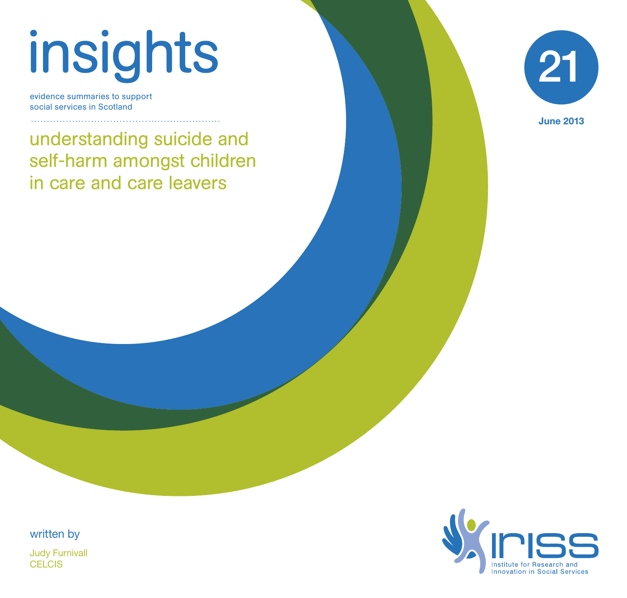# insights

evidence summaries to support social services in Scotland

understanding suicide and self-harm amongst children in care and care leavers



June 2013

written by Judy Furnivall CELCIS<sub></sub>

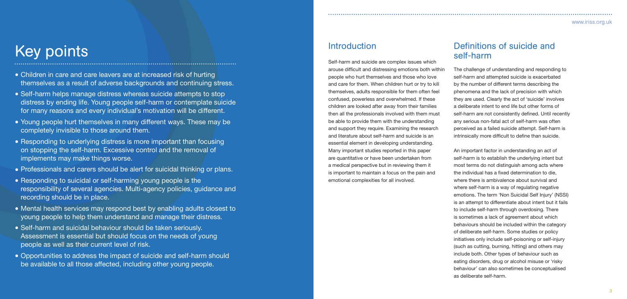# Key points

- Children in care and care leavers are at increased risk of hurting themselves as a result of adverse backgrounds and continuing stress.
- Self-harm helps manage distress whereas suicide attempts to stop distress by ending life. Young people self-harm or contemplate suicide for many reasons and every individual's motivation will be different.
- Young people hurt themselves in many different ways. These may be completely invisible to those around them.
- Responding to underlying distress is more important than focusing on stopping the self-harm. Excessive control and the removal of implements may make things worse.
- Professionals and carers should be alert for suicidal thinking or plans.
- Responding to suicidal or self-harming young people is the responsibility of several agencies. Multi-agency policies, guidance and recording should be in place.
- Mental health services may respond best by enabling adults closest to young people to help them understand and manage their distress.
- Self-harm and suicidal behaviour should be taken seriously. Assessment is essential but should focus on the needs of young people as well as their current level of risk.
- Opportunities to address the impact of suicide and self-harm should be available to all those affected, including other young people.

# **Introduction**

# Definitions of suicide and self-harm

The challenge of understanding and responding to self-harm and attempted suicide is exacerbated by the number of different terms describing the phenomena and the lack of precision with which they are used. Clearly the act of 'suicide' involves a deliberate intent to end life but other forms of self-harm are not consistently defined. Until recently any serious non-fatal act of self-harm was often perceived as a failed suicide attempt. Self-harm is intrinsically more difficult to define than suicide.

Self-harm and suicide are complex issues which arouse difficult and distressing emotions both within people who hurt themselves and those who love and care for them. When children hurt or try to kill themselves, adults responsible for them often feel confused, powerless and overwhelmed. If these children are looked after away from their families then all the professionals involved with them must be able to provide them with the understanding and support they require. Examining the research and literature about self-harm and suicide is an essential element in developing understanding. Many important studies reported in this paper are quantitative or have been undertaken from a medical perspective but in reviewing them it is important to maintain a focus on the pain and emotional complexities for all involved.

An important factor in understanding an act of self-harm is to establish the underlying intent but most terms do not distinguish among acts where the individual has a fixed determination to die. where there is ambivalence about survival and where self-harm is a way of regulating negative emotions. The term 'Non Suicidal Self Injury' (NSSI) is an attempt to differentiate about intent but it fails to include self-harm through overdosing. There is sometimes a lack of agreement about which behaviours should be included within the category of deliberate self-harm. Some studies or policy initiatives only include self-poisoning or self-injury (such as cutting, burning, hitting) and others may include both. Other types of behaviour such as eating disorders, drug or alcohol misuse or 'risky behaviour' can also sometimes be conceptualised as deliberate self-harm.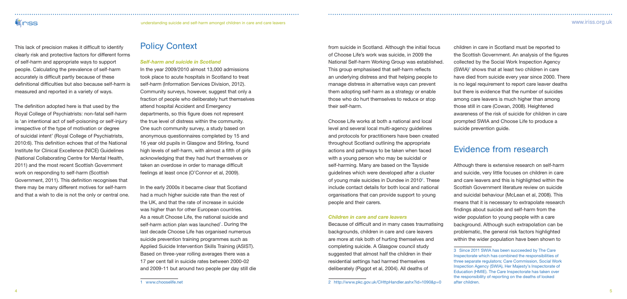# **WIPISS**

# understanding suicide and self-harm amongst children in care and care leavers www.iriss.org.uk

This lack of precision makes it difficult to identify clearly risk and protective factors for different forms of self-harm and appropriate ways to support people. Calculating the prevalence of self-harm accurately is difficult partly because of these definitional difficulties but also because self-harm is measured and reported in a variety of ways.

The definition adopted here is that used by the Royal College of Psychiatrists: non-fatal self-harm is 'an intentional act of self-poisoning or self-injury irrespective of the type of motivation or degree of suicidal intent' (Royal College of Psychiatrists, 2010:6). This definition echoes that of the National Institute for Clinical Excellence (NICE) Guidelines (National Collaborating Centre for Mental Health, 2011) and the most recent Scottish Government work on responding to self-harm (Scottish Government, 2011). This definition recognises that there may be many different motives for self-harm and that a wish to die is not the only or central one.

# Policy Context

#### *Self-harm and suicide in Scotland*

In the year 2009/2010 almost 13,000 admissions took place to acute hospitals in Scotland to treat self-harm (Information Services Division, 2012). Community surveys, however, suggest that only a fraction of people who deliberately hurt themselves attend hospital Accident and Emergency departments, so this figure does not represent the true level of distress within the community. One such community survey, a study based on anonymous questionnaires completed by 15 and 16 year old pupils in Glasgow and Stirling, found high levels of self-harm, with almost a fifth of girls acknowledging that they had hurt themselves or taken an overdose in order to manage difficult feelings at least once (O'Connor et al, 2009).

In the early 2000s it became clear that Scotland had a much higher suicide rate than the rest of the UK, and that the rate of increase in suicide was higher than for other European countries. As a result Choose Life, the national suicide and self-harm action plan was launched<sup>1</sup>. During the last decade Choose Life has organised numerous suicide prevention training programmes such as Applied Suicide Intervention Skills Training (ASIST). Based on three-year rolling averages there was a 17 per cent fall in suicide rates between 2000-02 and 2009-11 but around two people per day still die from suicide in Scotland. Although the initial focus of Choose Life's work was suicide, in 2009 the National Self-harm Working Group was established. This group emphasised that self-harm reflects an underlying distress and that helping people to manage distress in alternative ways can prevent them adopting self-harm as a strategy or enable those who do hurt themselves to reduce or stop their self-harm.

Choose Life works at both a national and local level and several local multi-agency guidelines and protocols for practitioners have been created throughout Scotland outlining the appropriate actions and pathways to be taken when faced with a young person who may be suicidal or self-harming. Many are based on the Tayside guidelines which were developed after a cluster of young male suicides in Dundee in 2010<sup>2</sup>. These include contact details for both local and national organisations that can provide support to young people and their carers.

### *Children in care and care leavers*

Because of difficult and in many cases traumatising backgrounds, children in care and care leavers are more at risk both of hurting themselves and completing suicide. A Glasgow council study suggested that almost half the children in their residential settings had harmed themselves deliberately (Piggot et al, 2004). All deaths of

children in care in Scotland must be reported to the Scottish Government. An analysis of the figures collected by the Social Work Inspection Agency (SWIA)<sup>3</sup> shows that at least two children in care have died from suicide every year since 2000. There is no legal requirement to report care leaver deaths but there is evidence that the number of suicides among care leavers is much higher than among those still in care (Cowan, 2008). Heightened awareness of the risk of suicide for children in care prompted SWIA and Choose Life to produce a suicide prevention guide.

# Evidence from research

Although there is extensive research on self-harm and suicide, very little focuses on children in care and care leavers and this is highlighted within the Scottish Government literature review on suicide and suicidal behaviour (McLean et al, 2008). This means that it is necessary to extrapolate research findings about suicide and self-harm from the wider population to young people with a care background. Although such extrapolation can be problematic, the general risk factors highlighted within the wider population have been shown to

<sup>1</sup> www.chooselife.net

<sup>3</sup> Since 2011 SWIA has been succeeded by The Care Inspectorate which has combined the responsibilities of three separate regulators; Care Commission, Social Work Inspection Agency (SWIA), Her Majesty's Inspectorate of Education (HMIE). The Care Inspectorate has taken over the responsibility of reporting on the deaths of looked after children.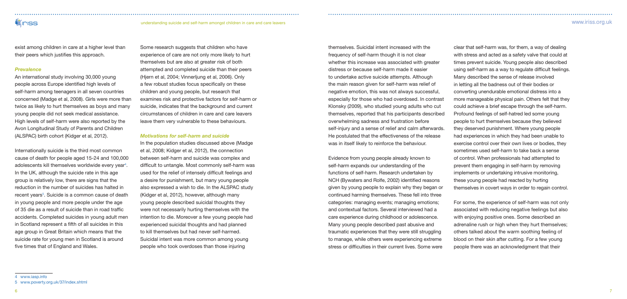# **Viniss**

understanding suicide and self-harm amongst children in care and care leavers www.iriss.org.uk

exist among children in care at a higher level than their peers which justifies this approach.

#### *Prevalence*

An international study involving 30,000 young people across Europe identified high levels of self-harm among teenagers in all seven countries concerned (Madge et al, 2008). Girls were more than twice as likely to hurt themselves as boys and many young people did not seek medical assistance. High levels of self-harm were also reported by the Avon Longitudinal Study of Parents and Children (ALSPAC) birth cohort (Kidger et al, 2012).

Internationally suicide is the third most common cause of death for people aged 15-24 and 100,000 adolescents kill themselves worldwide every year<sup>4</sup>. In the UK, although the suicide rate in this age group is relatively low, there are signs that the reduction in the number of suicides has halted in recent years<sup>5</sup>. Suicide is a common cause of death in young people and more people under the age of 35 die as a result of suicide than in road traffic accidents. Completed suicides in young adult men in Scotland represent a fifth of all suicides in this age group in Great Britain which means that the suicide rate for young men in Scotland is around five times that of England and Wales.

Some research suggests that children who have experience of care are not only more likely to hurt themselves but are also at greater risk of both attempted and completed suicide than their peers (Hjern et al, 2004; Vinnerljung et al, 2006). Only a few robust studies focus specifically on these children and young people, but research that examines risk and protective factors for self-harm or suicide, indicates that the background and current circumstances of children in care and care leavers leave them very vulnerable to these behaviours.

### *Motivations for self-harm and suicide*

In the population studies discussed above (Madge et al, 2008; Kidger et al, 2012), the connection between self-harm and suicide was complex and difficult to untangle. Most commonly self-harm was used for the relief of intensely difficult feelings and a desire for punishment, but many young people also expressed a wish to die. In the ALSPAC study (Kidger et al, 2012), however, although many young people described suicidal thoughts they were not necessarily hurting themselves with the intention to die. Moreover a few young people had experienced suicidal thoughts and had planned to kill themselves but had never self-harmed. Suicidal intent was more common among young people who took overdoses than those injuring

themselves. Suicidal intent increased with the frequency of self-harm though it is not clear whether this increase was associated with greater distress or because self-harm made it easier to undertake active suicide attempts. Although the main reason given for self-harm was relief of negative emotion, this was not always successful, especially for those who had overdosed. In contrast Klonsky (2009), who studied young adults who cut themselves, reported that his participants described overwhelming sadness and frustration before self-injury and a sense of relief and calm afterwards. He postulated that the effectiveness of the release was in itself likely to reinforce the behaviour.

Evidence from young people already known to self-harm expands our understanding of the functions of self-harm. Research undertaken by NCH (Bywaters and Rolfe, 2002) identified reasons given by young people to explain why they began or continued harming themselves. These fell into three categories: managing events; managing emotions; and contextual factors. Several interviewed had a care experience during childhood or adolescence. Many young people described past abusive and traumatic experiences that they were still struggling to manage, while others were experiencing extreme stress or difficulties in their current lives. Some were

clear that self-harm was, for them, a way of dealing with stress and acted as a safety valve that could at times prevent suicide. Young people also described using self-harm as a way to regulate difficult feelings. Many described the sense of release involved in letting all the badness out of their bodies or converting unendurable emotional distress into a more manageable physical pain. Others felt that they could achieve a brief escape through the self-harm. Profound feelings of self-hatred led some young people to hurt themselves because they believed they deserved punishment. Where young people had experiences in which they had been unable to exercise control over their own lives or bodies, they sometimes used self-harm to take back a sense of control. When professionals had attempted to prevent them engaging in self-harm by removing implements or undertaking intrusive monitoring, these young people had reacted by hurting themselves in covert ways in order to regain control. For some, the experience of self-harm was not only

associated with reducing negative feelings but also with enjoying positive ones. Some described an adrenaline rush or high when they hurt themselves; others talked about the warm soothing feeling of blood on their skin after cutting. For a few young people there was an acknowledgment that their

<sup>5</sup> www.poverty.org.uk/37/index.shtml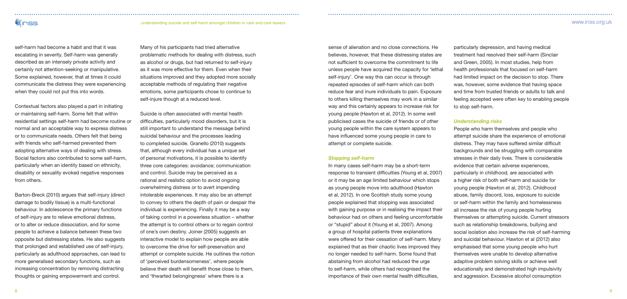understanding suicide and self-harm amongst children in care and care leavers www.iriss.org.uk

self-harm had become a habit and that it was escalating in severity. Self-harm was generally described as an intensely private activity and certainly not attention-seeking or manipulative. Some explained, however, that at times it could communicate the distress they were experiencing when they could not put this into words.

**Viniss** 

Contextual factors also played a part in initiating or maintaining self-harm. Some felt that within residential settings self-harm had become routine or normal and an acceptable way to express distress or to communicate needs. Others felt that being with friends who self-harmed prevented them adopting alternative ways of dealing with stress. Social factors also contributed to some self-harm, particularly when an identity based on ethnicity, disability or sexuality evoked negative responses from others.

Barton-Breck (2010) argues that self-injury (direct damage to bodily tissue) is a multi-functional behaviour. In adolescence the primary functions of self-injury are to relieve emotional distress, or to alter or reduce dissociation, and for some people to achieve a balance between these two opposite but distressing states. He also suggests that prolonged and established use of self-injury, particularly as adulthood approaches, can lead to more generalised secondary functions, such as increasing concentration by removing distracting thoughts or gaining empowerment and control.

Many of his participants had tried alternative problematic methods for dealing with distress, such as alcohol or drugs, but had returned to self-injury as it was more effective for them. Even when their situations improved and they adopted more socially acceptable methods of regulating their negative emotions, some participants chose to continue to self-injure though at a reduced level.

Suicide is often associated with mental health difficulties, particularly mood disorders, but it is still important to understand the message behind suicidal behaviour and the processes leading to completed suicide. Granello (2010) suggests that, although every individual has a unique set of personal motivations, it is possible to identify three core categories: avoidance; communication and control. Suicide may be perceived as a rational and realistic option to avoid ongoing overwhelming distress or to avert impending intolerable experiences. It may also be an attempt to convey to others the depth of pain or despair the individual is experiencing. Finally it may be a way of taking control in a powerless situation – whether the attempt is to control others or to regain control of one's own destiny. Joiner (2005) suggests an interactive model to explain how people are able to overcome the drive for self-preservation and attempt or complete suicide. He outlines the notion of 'perceived burdensomeness', where people believe their death will benefit those close to them, and 'thwarted belongingness' where there is a

sense of alienation and no close connections. He believes, however, that these distressing states are not sufficient to overcome the commitment to life unless people have acquired the capacity for 'lethal self-injury'. One way this can occur is through repeated episodes of self-harm which can both reduce fear and inure individuals to pain. Exposure to others killing themselves may work in a similar way and this certainly appears to increase risk for young people (Hawton et al, 2012). In some well publicised cases the suicide of friends or of other young people within the care system appears to have influenced some young people in care to attempt or complete suicide.

#### *Stopping self-harm*

In many cases self-harm may be a short-term response to transient difficulties (Young et al, 2007) or it may be an age limited behaviour which stops as young people move into adulthood (Hawton et al, 2012). In one Scottish study some young people explained that stopping was associated with gaining purpose or in realising the impact their behaviour had on others and feeling uncomfortable or "stupid" about it (Young et al, 2007). Among a group of hospital patients three explanations were offered for their cessation of self-harm. Many explained that as their chaotic lives improved they no longer needed to self-harm. Some found that abstaining from alcohol had reduced the urge to self-harm, while others had recognised the importance of their own mental health difficulties,

particularly depression, and having medical treatment had resolved their self-harm (Sinclair and Green, 2005). In most studies, help from health professionals that focused on self-harm had limited impact on the decision to stop. There was, however, some evidence that having space and time from trusted friends or adults to talk and feeling accepted were often key to enabling people to stop self-harm.

# *Understanding risks*

People who harm themselves and people who attempt suicide share the experience of emotional distress. They may have suffered similar difficult backgrounds and be struggling with comparable stresses in their daily lives. There is considerable evidence that certain adverse experiences, particularly in childhood, are associated with a higher risk of both self-harm and suicide for young people (Hawton et al, 2012). Childhood abuse, family discord, loss, exposure to suicide or self-harm within the family and homelessness all increase the risk of young people hurting themselves or attempting suicide. Current stressors such as relationship breakdowns, bullying and social isolation also increase the risk of self-harming and suicidal behaviour. Hawton et al (2012) also emphasised that some young people who hurt themselves were unable to develop alternative adaptive problem solving skills or achieve well educationally and demonstrated high impulsivity and aggression. Excessive alcohol consumption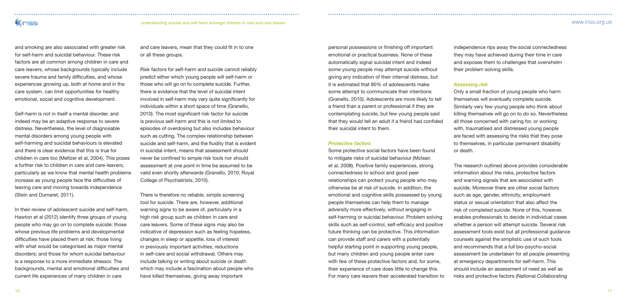**WINSS** 

and smoking are also associated with greater risk for self-harm and suicidal behaviour. These risk factors are all common among children in care and care leavers, whose backgrounds typically include severe trauma and family difficulties, and whose experiences growing up, both at home and in the care system, can limit opportunities for healthy emotional, social and cognitive development.

Self-harm is not in itself a mental disorder, and indeed may be an adaptive response to severe distress. Nevertheless, the level of diagnosable mental disorders among young people with self-harming and suicidal behaviours is elevated and there is clear evidence that this is true for children in care too (Meltzer et al, 2004). This poses a further risk to children in care and care-leavers, particularly as we know that mental health problems increase as young people face the difficulties of leaving care and moving towards independence (Stein and Dumaret, 2011).

In their review of adolescent suicide and self-harm, Hawton et al (2012) identify three groups of young people who may go on to complete suicide: those whose previous life problems and developmental difficulties have placed them at risk; those living with what would be categorised as major mental disorders; and those for whom suicidal behaviour is a response to a more immediate stressor. The backgrounds, mental and emotional difficulties and current life experiences of many children in care

and care leavers, mean that they could fit in to one or all these groups.

Risk factors for self-harm and suicide cannot reliably predict either which young people will self-harm or those who will go on to complete suicide. Further, there is evidence that the level of suicidal intent involved in self-harm may vary quite significantly for individuals within a short space of time (Granello, 2010). The most significant risk factor for suicide is previous self-harm and this is not limited to episodes of overdosing but also includes behaviour such as cutting. The complex relationship between suicide and self-harm, and the fluidity that is evident in suicidal intent, means that assessment should never be confined to simple risk tools nor should assessment at one point in time be assumed to be valid even shortly afterwards (Granello, 2010; Royal College of Psychiatrists, 2010).

There is therefore no reliable, simple screening tool for suicide. There are, however, additional warning signs to be aware of, particularly in a high risk group such as children in care and care leavers. Some of these signs may also be indicative of depression such as feeling hopeless, changes in sleep or appetite, loss of interest in previously important activities, reductions in self-care and social withdrawal. Others may include talking or writing about suicide or death which may include a fascination about people who have killed themselves, giving away important

personal possessions or finishing off important emotional or practical business. None of these automatically signal suicidal intent and indeed some young people may attempt suicide without giving any indication of their internal distress, but it is estimated that 90% of adolescents make some attempt to communicate their intentions (Granello, 2010). Adolescents are more likely to tell a friend than a parent or professional if they are contemplating suicide, but few young people said that they would tell an adult if a friend had confided their suicidal intent to them.

#### *Protective factors*

Some protective social factors have been found to mitigate risks of suicidal behaviour (Mclean et al, 2008). Positive family experiences, strong connectedness to school and good peer relationships can protect young people who may otherwise be at risk of suicide. In addition, the emotional and cognitive skills possessed by young people themselves can help them to manage adversity more effectively, without engaging in self-harming or suicidal behaviour. Problem solving skills such as self-control, self-efficacy and positive future thinking can be protective. This information can provide staff and carers with a potentially helpful starting point in supporting young people, but many children and young people enter care with few of these protective factors and, for some, their experience of care does little to change this. For many care leavers their accelerated transition to

independence rips away the social connectedness they may have achieved during their time in care and exposes them to challenges that overwhelm their problem solving skills.

#### *Assessing risk*

Only a small fraction of young people who harm themselves will eventually complete suicide. Similarly very few young people who think about killing themselves will go on to do so. Nevertheless all those concerned with caring for, or working with, traumatised and distressed young people are faced with assessing the risks that they pose to themselves, in particular permanent disability or death.

The research outlined above provides considerable information about the risks, protective factors and warning signals that are associated with suicide. Moreover there are other social factors such as age, gender, ethnicity, employment status or sexual orientation that also affect the risk of completed suicide. None of this, however, enables professionals to decide in individual cases whether a person will attempt suicide. Several risk assessment tools exist but all professional guidance counsels against the simplistic use of such tools and recommends that a full bio-psycho-social assessment be undertaken for all people presenting at emergency departments for self-harm. This should include an assessment of need as well as risks and protective factors (National Collaborating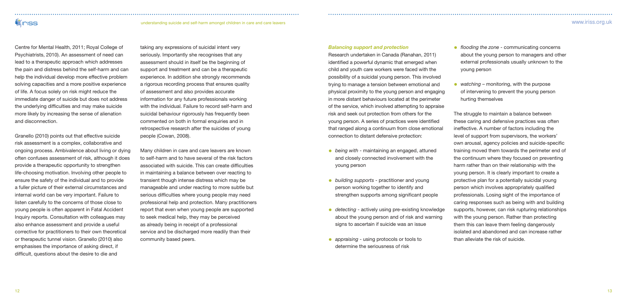# understanding suicide and self-harm amongst children in care and care leavers www.iriss.org.uk

**WINDS** 

Centre for Mental Health, 2011; Royal College of Psychiatrists, 2010). An assessment of need can lead to a therapeutic approach which addresses the pain and distress behind the self-harm and can help the individual develop more effective problem solving capacities and a more positive experience of life. A focus solely on risk might reduce the immediate danger of suicide but does not address the underlying difficulties and may make suicide more likely by increasing the sense of alienation and disconnection.

Granello (2010) points out that effective suicide risk assessment is a complex, collaborative and ongoing process. Ambivalence about living or dying often confuses assessment of risk, although it does provide a therapeutic opportunity to strengthen life-choosing motivation. Involving other people to ensure the safety of the individual and to provide a fuller picture of their external circumstances and internal world can be very important. Failure to listen carefully to the concerns of those close to young people is often apparent in Fatal Accident Inquiry reports. Consultation with colleagues may also enhance assessment and provide a useful corrective for practitioners to their own theoretical or therapeutic tunnel vision. Granello (2010) also emphasises the importance of asking direct, if difficult, questions about the desire to die and

taking any expressions of suicidal intent very seriously. Importantly she recognises that any assessment should in itself be the beginning of support and treatment and can be a therapeutic experience. In addition she strongly recommends a rigorous recording process that ensures quality of assessment and also provides accurate information for any future professionals working with the individual. Failure to record self-harm and suicidal behaviour rigorously has frequently been commented on both in formal enquiries and in retrospective research after the suicides of young people (Cowan, 2008).

• *flooding the zone* - communicating concerns about the young person to managers and other external professionals usually unknown to the young person

• *watching* – monitoring, with the purpose of intervening to prevent the young person hurting themselves

Many children in care and care leavers are known to self-harm and to have several of the risk factors associated with suicide. This can create difficulties in maintaining a balance between over reacting to transient though intense distress which may be manageable and under reacting to more subtle but serious difficulties where young people may need professional help and protection. Many practitioners report that even when young people are supported to seek medical help, they may be perceived as already being in receipt of a professional service and be discharged more readily than their community based peers.

#### *Balancing support and protection*

Research undertaken in Canada (Ranahan, 2011) identified a powerful dynamic that emerged when child and youth care workers were faced with the possibility of a suicidal young person. This involved trying to manage a tension between emotional and physical proximity to the young person and engaging in more distant behaviours located at the perimeter of the service, which involved attempting to appraise risk and seek out protection from others for the young person. A series of practices were identified that ranged along a continuum from close emotional connection to distant defensive protection:

- • *being with* maintaining an engaged, attuned and closely connected involvement with the young person
- • *building supports* practitioner and young person working together to identify and strengthen supports among significant people
- **•** *detecting* actively using pre-existing knowledge about the young person and of risk and warning signs to ascertain if suicide was an issue
- *appraising* using protocols or tools to determine the seriousness of risk

The struggle to maintain a balance between these caring and defensive practices was often ineffective. A number of factors including the level of support from supervisors, the workers' own arousal, agency policies and suicide-specific training moved them towards the perimeter end of the continuum where they focused on preventing harm rather than on their relationship with the young person. It is clearly important to create a protective plan for a potentially suicidal young person which involves appropriately qualified professionals. Losing sight of the importance of caring responses such as being with and building supports, however, can risk rupturing relationships with the young person. Rather than protecting them this can leave them feeling dangerously isolated and abandoned and can increase rather than alleviate the risk of suicide.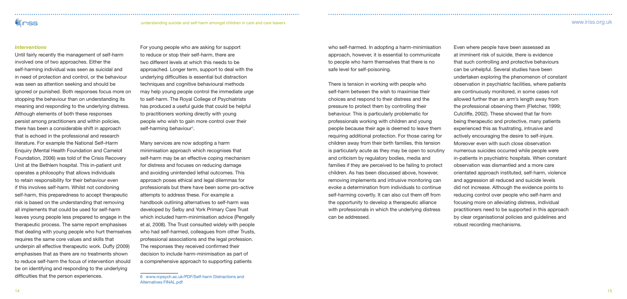# **Wiriss**

understanding suicide and self-harm amongst children in care and care leavers www.iriss.org.uk

#### *Interventions*

For young people who are asking for support to reduce or stop their self-harm, there are two different levels at which this needs to be approached. Longer term, support to deal with the underlying difficulties is essential but distraction techniques and cognitive behavioural methods may help young people control the immediate urge to self-harm. The Royal College of Psychiatrists has produced a useful guide that could be helpful to practitioners working directly with young people who wish to gain more control over their self-harming behaviour<sup>6</sup>.

Until fairly recently the management of self-harm involved one of two approaches. Either the self-harming individual was seen as suicidal and in need of protection and control, or the behaviour was seen as attention seeking and should be ignored or punished. Both responses focus more on stopping the behaviour than on understanding its meaning and responding to the underlying distress. Although elements of both these responses persist among practitioners and within policies, there has been a considerable shift in approach that is echoed in the professional and research literature. For example the National Self–Harm Enquiry (Mental Health Foundation and Camelot Foundation, 2006) was told of the Crisis Recovery Unit at the Bethlem hospital. This in-patient unit operates a philosophy that allows individuals to retain responsibility for their behaviour even if this involves self-harm. Whilst not condoning self-harm, this preparedness to accept therapeutic risk is based on the understanding that removing all implements that could be used for self-harm leaves young people less prepared to engage in the therapeutic process. The same report emphasises that dealing with young people who hurt themselves requires the same core values and skills that underpin all effective therapeutic work. Duffy (2009) emphasises that as there are no treatments shown to reduce self-harm the focus of intervention should be on identifying and responding to the underlying difficulties that the person experiences.

Many services are now adopting a harm minimisation approach which recognises that self-harm may be an effective coping mechanism for distress and focuses on reducing damage and avoiding unintended lethal outcomes. This approach poses ethical and legal dilemmas for professionals but there have been some pro-active attempts to address these. For example a handbook outlining alternatives to self-harm was developed by Selby and York Primary Care Trust which included harm-minimisation advice (Pengelly et al, 2008). The Trust consulted widely with people who had self-harmed, colleagues from other Trusts, professional associations and the legal profession. The responses they received confirmed their decision to include harm-minimisation as part of a comprehensive approach to supporting patients

who self-harmed. In adopting a harm-minimisation approach, however, it is essential to communicate to people who harm themselves that there is no safe level for self-poisoning.

There is tension in working with people who self-harm between the wish to maximise their choices and respond to their distress and the pressure to protect them by controlling their behaviour. This is particularly problematic for professionals working with children and young people because their age is deemed to leave them requiring additional protection. For those caring for children away from their birth families, this tension is particularly acute as they may be open to scrutiny and criticism by regulatory bodies, media and families if they are perceived to be failing to protect children. As has been discussed above, however, removing implements and intrusive monitoring can evoke a determination from individuals to continue self-harming covertly. It can also cut them off from the opportunity to develop a therapeutic alliance with professionals in which the underlying distress can be addressed.

Even where people have been assessed as at imminent risk of suicide, there is evidence that such controlling and protective behaviours can be unhelpful. Several studies have been undertaken exploring the phenomenon of constant observation in psychiatric facilities, where patients are continuously monitored, in some cases not allowed further than an arm's length away from the professional observing them (Fletcher, 1999; Cutcliffe, 2002). These showed that far from being therapeutic and protective, many patients experienced this as frustrating, intrusive and actively encouraging the desire to self-injure. Moreover even with such close observation numerous suicides occurred while people were in-patients in psychiatric hospitals. When constant observation was dismantled and a more care orientated approach instituted, self-harm, violence and aggression all reduced and suicide levels did not increase. Although the evidence points to reducing control over people who self-harm and focusing more on alleviating distress, individual practitioners need to be supported in this approach by clear organisational policies and guidelines and robust recording mechanisms.

<sup>6</sup> www.rcpsych.ac.uk/PDF/Self-harm Distractions and Alternatives FINAL.pdf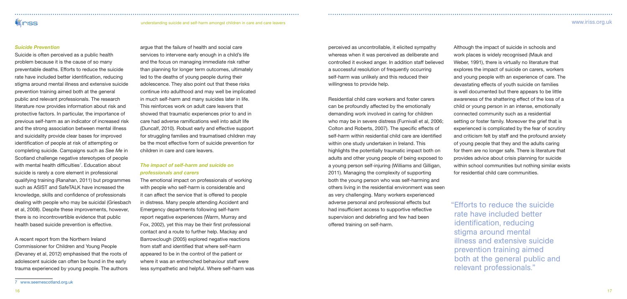# **Viniss**

understanding suicide and self-harm amongst children in care and care leavers www.iriss.org.uk

### *Suicide Prevention*

Suicide is often perceived as a public health problem because it is the cause of so many preventable deaths. Efforts to reduce the suicide rate have included better identification, reducing stigma around mental illness and extensive suicide prevention training aimed both at the general public and relevant professionals. The research literature now provides information about risk and protective factors. In particular, the importance of previous self-harm as an indicator of increased risk and the strong association between mental illness and suicidality provide clear bases for improved identification of people at risk of attempting or completing suicide. Campaigns such as *See Me* in Scotland challenge negative stereotypes of people with mental health difficulties<sup>7</sup>. Education about suicide is rarely a core element in professional qualifying training (Ranahan, 2011) but programmes such as ASIST and SafeTALK have increased the knowledge, skills and confidence of professionals dealing with people who may be suicidal (Griesbach et al, 2008). Despite these improvements, however, there is no incontrovertible evidence that public health based suicide prevention is effective.

A recent report from the Northern Ireland Commissioner for Children and Young People (Devaney et al, 2012) emphasised that the roots of adolescent suicide can often be found in the early trauma experienced by young people. The authors

argue that the failure of health and social care services to intervene early enough in a child's life and the focus on managing immediate risk rather than planning for longer term outcomes, ultimately led to the deaths of young people during their adolescence. They also point out that these risks continue into adulthood and may well be implicated in much self-harm and many suicides later in life. This reinforces work on adult care leavers that showed that traumatic experiences prior to and in care had adverse ramifications well into adult life (Duncalf, 2010). Robust early and effective support for struggling families and traumatised children may be the most effective form of suicide prevention for children in care and care leavers.

# *The impact of self-harm and suicide on professionals and carers*

The emotional impact on professionals of working with people who self-harm is considerable and it can affect the service that is offered to people in distress. Many people attending Accident and Emergency departments following self-harm report negative experiences (Warm, Murray and Fox, 2002), yet this may be their first professional contact and a route to further help. Mackay and Barrowclough (2005) explored negative reactions from staff and identified that where self-harm appeared to be in the control of the patient or where it was an entrenched behaviour staff were less sympathetic and helpful. Where self-harm was perceived as uncontrollable, it elicited sympathy whereas when it was perceived as deliberate and controlled it evoked anger. In addition staff believed a successful resolution of frequently occurring self-harm was unlikely and this reduced their willingness to provide help.

Residential child care workers and foster carers can be profoundly affected by the emotionally demanding work involved in caring for children who may be in severe distress (Furnivall et al, 2006; Colton and Roberts, 2007). The specific effects of self-harm within residential child care are identified within one study undertaken in Ireland. This highlights the potentially traumatic impact both on adults and other young people of being exposed to a young person self-injuring (Williams and Gilligan, 2011). Managing the complexity of supporting both the young person who was self-harming and others living in the residential environment was seen as very challenging. Many workers experienced adverse personal and professional effects but had insufficient access to supportive reflective supervision and debriefing and few had been offered training on self-harm.

Although the impact of suicide in schools and work places is widely recognised (Mauk and Weber, 1991), there is virtually no literature that explores the impact of suicide on carers, workers and young people with an experience of care. The devastating effects of youth suicide on families is well documented but there appears to be little awareness of the shattering effect of the loss of a child or young person in an intense, emotionally connected community such as a residential setting or foster family. Moreover the grief that is experienced is complicated by the fear of scrutiny and criticism felt by staff and the profound anxiety of young people that they and the adults caring for them are no longer safe. There is literature that provides advice about crisis planning for suicide within school communities but nothing similar exists for residential child care communities.

"Efforts to reduce the suicide rate have included better identification, reducing stigma around mental illness and extensive suicide prevention training aimed both at the general public and relevant professionals."

<sup>7</sup> www.seemescotland.org.uk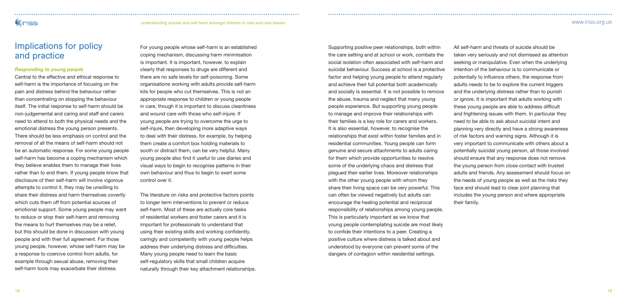# **WINSS**

### understanding suicide and self-harm amongst children in care and care leavers www.iriss.org.uk

# Implications for policy and practice

## *Responding to young people*

Central to the effective and ethical response to self-harm is the importance of focusing on the pain and distress behind the behaviour rather than concentrating on stopping the behaviour itself. The initial response to self-harm should be non-judgemental and caring and staff and carers need to attend to both the physical needs and the emotional distress the young person presents. There should be less emphasis on control and the removal of all the means of self-harm should not be an automatic response. For some young people self-harm has become a coping mechanism which they believe enables them to manage their lives rather than to end them. If young people know that disclosure of their self-harm will involve vigorous attempts to control it, they may be unwilling to share their distress and harm themselves covertly which cuts them off from potential sources of emotional support. Some young people may want to reduce or stop their self-harm and removing the means to hurt themselves may be a relief, but this should be done in discussion with young people and with their full agreement. For those young people, however, whose self-harm may be a response to coercive control from adults, for example through sexual abuse, removing their self-harm tools may exacerbate their distress.

For young people whose self-harm is an established coping mechanism, discussing harm minimisation is important. It is important, however, to explain clearly that responses to drugs are different and there are no safe levels for self-poisoning. Some organisations working with adults provide self-harm kits for people who cut themselves. This is not an appropriate response to children or young people in care, though it is important to discuss cleanliness and wound care with those who self-injure. If young people are trying to overcome the urge to self-injure, then developing more adaptive ways to deal with their distress, for example, by helping them create a comfort box holding materials to sooth or distract them, can be very helpful. Many young people also find it useful to use diaries and visual ways to begin to recognise patterns in their own behaviour and thus to begin to exert some control over it.

The literature on risks and protective factors points to longer term interventions to prevent or reduce self-harm. Most of these are actually core tasks of residential workers and foster carers and it is important for professionals to understand that using their existing skills and working confidently, caringly and competently with young people helps address their underlying distress and difficulties. Many young people need to learn the basic self-regulatory skills that small children acquire naturally through their key attachment relationships.

Supporting positive peer relationships, both within the care setting and at school or work, combats the social isolation often associated with self-harm and suicidal behaviour. Success at school is a protective factor and helping young people to attend regularly and achieve their full potential both academically and socially is essential. It is not possible to remove the abuse, trauma and neglect that many young people experience. But supporting young people to manage and improve their relationships with their families is a key role for carers and workers. It is also essential, however, to recognise the relationships that exist within foster families and in residential communities. Young people can form genuine and secure attachments to adults caring for them which provide opportunities to resolve some of the underlying chaos and distress that plagued their earlier lives. Moreover relationships with the other young people with whom they share their living space can be very powerful. This can often be viewed negatively but adults can encourage the healing potential and reciprocal responsibility of relationships among young people. This is particularly important as we know that young people contemplating suicide are most likely to confide their intentions to a peer. Creating a positive culture where distress is talked about and understood by everyone can prevent some of the dangers of contagion within residential settings.

All self-harm and threats of suicide should be taken very seriously and not dismissed as attention seeking or manipulative. Even when the underlying intention of the behaviour is to communicate or potentially to influence others, the response from adults needs to be to explore the current triggers and the underlying distress rather than to punish or ignore. It is important that adults working with these young people are able to address difficult and frightening issues with them. In particular they need to be able to ask about suicidal intent and planning very directly and have a strong awareness of risk factors and warning signs. Although it is very important to communicate with others about a potentially suicidal young person, all those involved should ensure that any response does not remove the young person from close contact with trusted adults and friends. Any assessment should focus on the needs of young people as well as the risks they face and should lead to clear joint planning that includes the young person and where appropriate

their family.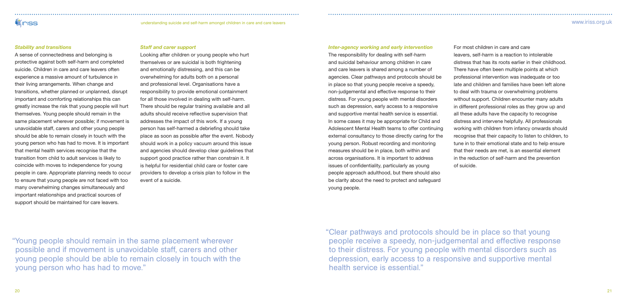# **Viniss**

# understanding suicide and self-harm amongst children in care and care leavers www.iriss.org.uk

### *Stability and transitions*

A sense of connectedness and belonging is protective against both self-harm and completed suicide. Children in care and care leavers often experience a massive amount of turbulence in their living arrangements. When change and transitions, whether planned or unplanned, disrupt important and comforting relationships this can greatly increase the risk that young people will hurt themselves. Young people should remain in the same placement wherever possible; if movement is unavoidable staff, carers and other young people should be able to remain closely in touch with the young person who has had to move. It is important that mental health services recognise that the transition from child to adult services is likely to coincide with moves to independence for young people in care. Appropriate planning needs to occur to ensure that young people are not faced with too many overwhelming changes simultaneously and important relationships and practical sources of support should be maintained for care leavers.

## *Staff and carer support*

Looking after children or young people who hurt themselves or are suicidal is both frightening and emotionally distressing, and this can be overwhelming for adults both on a personal and professional level. Organisations have a responsibility to provide emotional containment for all those involved in dealing with self-harm. There should be regular training available and all adults should receive reflective supervision that addresses the impact of this work. If a young person has self-harmed a debriefing should take place as soon as possible after the event. Nobody should work in a policy vacuum around this issue and agencies should develop clear guidelines that support good practice rather than constrain it. It is helpful for residential child care or foster care providers to develop a crisis plan to follow in the event of a suicide.

### *Inter-agency working and early intervention*

The responsibility for dealing with self-harm and suicidal behaviour among children in care and care leavers is shared among a number of agencies. Clear pathways and protocols should be in place so that young people receive a speedy, non-judgemental and effective response to their distress. For young people with mental disorders such as depression, early access to a responsive and supportive mental health service is essential. In some cases it may be appropriate for Child and Adolescent Mental Health teams to offer continuing external consultancy to those directly caring for the young person. Robust recording and monitoring measures should be in place, both within and across organisations. It is important to address issues of confidentiality, particularly as young people approach adulthood, but there should also be clarity about the need to protect and safeguard young people.

For most children in care and care leavers, self-harm is a reaction to intolerable distress that has its roots earlier in their childhood. There have often been multiple points at which professional intervention was inadequate or too late and children and families have been left alone to deal with trauma or overwhelming problems without support. Children encounter many adults in different professional roles as they grow up and all these adults have the capacity to recognise distress and intervene helpfully. All professionals working with children from infancy onwards should recognise that their capacity to listen to children, to tune in to their emotional state and to help ensure that their needs are met, is an essential element in the reduction of self-harm and the prevention

of suicide.

"Young people should remain in the same placement wherever possible and if movement is unavoidable staff, carers and other young people should be able to remain closely in touch with the young person who has had to move."

"Clear pathways and protocols should be in place so that young people receive a speedy, non-judgemental and effective response to their distress. For young people with mental disorders such as depression, early access to a responsive and supportive mental health service is essential."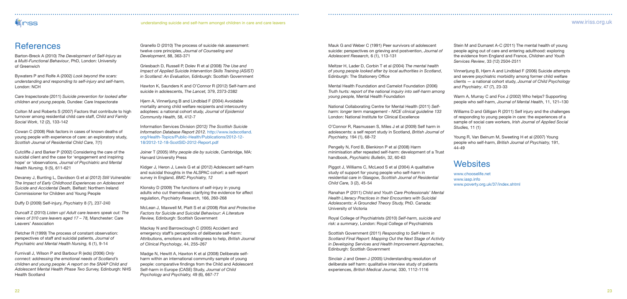# **WICKS**

#### understanding suicide and self-harm amongst children in care and care leavers www.iriss.org.uk

# **References**

Stein M and Dumaret A-C (2011) The mental health of young people aging out of care and entering adulthood: exploring the evidence from England and France, *Children and Youth Services Review*, 33 (12) 2504-2511

Vinnerljung B, Hjern A and Lindblad F (2006) Suicide attempts and severe psychiatric morbidity among former child welfare clients — a national cohort study, *Journal of Child Psychology and Psychiatry*, 47 (7), 23-33

Warm A, Murray C and Fox J (2002) Who helps? Supporting people who self-harm, *Journal of Mental Health*, 11, 121–130

Williams D and Gilligan R (2011) Self injury and the challenges of responding to young people in care: the experiences of a sample of social care workers, *Irish Journal of Applied Social Studies,* 11 (1)

Young R, Van Beinum M, Sweeting H et al (2007) Young people who self-harm, *British Journal of Psychiatry,* 191,

44-49

# **Websites**

www.chooselife.net www.iasp.info

www.poverty.org.uk/37/index.shtml

Mauk G and Weber C (1991) Peer survivors of adolescent suicide: perspectives on grieving and postvention, *Journal of Adolescent Research,* 6 (1), 113-131

Meltzer H, Lader D, Corbin T et al (2004) *The mental health of young people looked after by local authorities in Scotland*, Edinburgh: The Stationery Office

Mental Health Foundation and Camelot Foundation (2006) *Truth hurts: report of the national inquiry into self-harm among young people,* Mental Health Foundation

National Collaborating Centre for Mental Health (2011) *Selfharm: longer term management - NICE clinical guideline 133* London: National Institute for Clinical Excellence

Hiern A, Vinnerliung B and Lindblad F (2004) Avoidable mortality among child welfare recipients and intercountry adoptees: a national cohort stud*y, Journal of Epidemiol Community Health,* 58, 412-7

> O'Connor R, Rasmussen S, Miles J et al (2009) Self harm in adolescents: a self report study in Scotland, *British Journal of Psychiatry,* 194 (1), 68-72

> Pengelly N, Ford B, Blenkiron P et al (2008) Harm minimisation after repeated self-harm: development of a Trust handbook, *Psychiatric Bulletin,* 32, 60-63

Piggot J, Williams C, McLeod S et al (2004) A qualitative study of support for young people who self-harm in residential care in Glasgow*, Scottish Journal of Residential Child Care,* 3 (2), 45-54

Ranahan P (2011) *Child and Youth Care Professionals' Mental Health Literacy Practices in their Encounters with Suicidal Adolescents: A Grounded Theory Study,* PhD. Canada: University of Victoria

Royal College of Psychiatrists (2010) *Self-harm, suicide and risk: a summary* , London: Royal College of Psychiatrists

Scottish Government (2011) *Responding to Self-Harm in Scotland Final Report: Mapping Out the Next Stage of Activity in Developing Services and Health Improvement Approaches*, Edinburgh: Scottish Government

Sinclair J and Green J (2005) Understanding resolution of deliberate self harm: qualitative interview study of patients experiences, *British Medical Journal,* 330, 1112-1116

Granello D (2010) The process of suicide risk assessment: twelve core principles, *Journal of Counseling and Development*, 88, 363-371

Griesbach D, Russell P, Dolev R et al (2008) *The Use and Impact of Applied Suicide Intervention Skills Training (ASIST) in Scotland: An Evaluation,* Edinburgh: Scottish Government

Hawton K, Saunders K and O'Connor R (2012) Self-harm and suicide in adolescents, *The Lancet,* 379, 2373-2382

Information Services Division (2012*) The Scottish Suicide Information Database Report 2012.* http://www.isdscotland. org/Health-Topics/Public-Health/Publications/2012-12- 18/2012-12-18-ScotSID-2012-Report.pdf

Joiner T (2005) *Why people die by suicide*, Cambridge, MA: Harvard University Press

Kidger J, Heron J, Lewis G et al (2012) Adolescent self-harm and suicidal thoughts in the ALSPAC cohort: a self-report survey in England, *BMC Psychiatry, 12*

Klonsky D (2009) The functions of self-injury in young adults who cut themselves: clarifying the evidence for affect regulation, *Psychiatry Research,* 166, 260-268

McLean J, Maxwell M, Platt S et al (2008) *Risk and Protective Factors for Suicide and Suicidal Behaviour: A Literature Review,* Edinburgh: Scottish Government

Mackay N and Barrowclough C (2005) Accident and emergency staff's perceptions of deliberate self-harm: Attributions, emotions and willingness to help, *British Journal of Clinical Psychology*, 44, 255–267

Madge N, Hewitt A, Hawton K et al (2008) Deliberate selfharm within an international community sample of young people: comparative findings from the Child and Adolescent Self-harm in Europe (CASE) Study, *Journal of Child Psychology and Psychiatry,* 49 (6), 667-77

Barton-Breck A (2010) *The Development of Self-Injury as a Multi-Functional Behaviour*, PhD, London: University of Greenwich

Bywaters P and Rolfe A (2002*) Look beyond the scars: understanding and responding to self-injury and self-harm,* London: NCH

Care Inspectorate (2011) *Suicide prevention for looked after children and young people,* Dundee: Care Inspectorate

Colton M and Roberts S (2007) Factors that contribute to high turnover among residential child care staff, *Child and Family Social Work*, 12 (2), 133-142

Cowan C (2008) Risk factors in cases of known deaths of young people with experience of care: an exploratory study*, Scottish Journal of Residential Child Care,* 7(1)

Cutcliffe J and Barker P (2002) Considering the care of the suicidal client and the case for 'engagement and inspiring hope' or 'observations, *Journal of Psychiatric and Mental Health Nursing,* 9 (5), 611-621

Devaney J, Bunting L, Davidson G et al (2012) *Still Vulnerable: The Impact of Early Childhood Experiences on Adolescent Suicide and Accidental Death,* Belfast: Northern Ireland Commissioner for Children and Young People

Duffy D (2009) Self-injury, *Psychiatry* 8 (7), 237-240

Duncalf Z (2010) *Listen up! Adult care leavers speak out: The views of 310 care leavers aged 17 – 78,* Manchester: Care Leavers' Association

Fletcher R (1999) The process of constant observation: perspectives of staff and suicidal patients, *Journal of Psychiatric and Mental Health Nursing,* 6 (1), 9-14

Furnivall J, Wilson P and Barbour R (eds) (2006) *Only connect: addressing the emotional needs of Scotland's children and young people: A report on the SNAP Child and Adolescent Mental Health Phase Two Survey,* Edinburgh: NHS Health Scotland